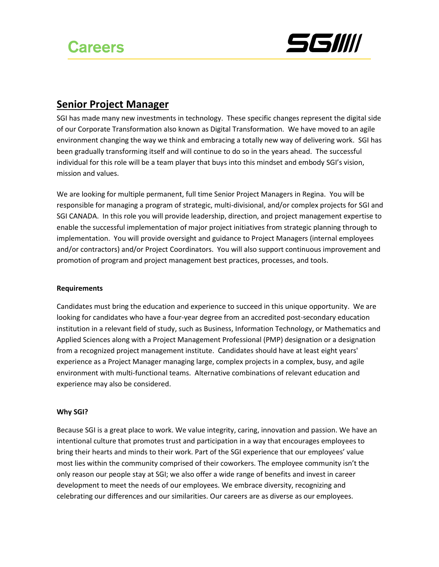

## **Senior Project Manager**

SGI has made many new investments in technology. These specific changes represent the digital side of our Corporate Transformation also known as Digital Transformation. We have moved to an agile environment changing the way we think and embracing a totally new way of delivering work. SGI has been gradually transforming itself and will continue to do so in the years ahead. The successful individual for this role will be a team player that buys into this mindset and embody SGI's vision, mission and values.

We are looking for multiple permanent, full time Senior Project Managers in Regina. You will be responsible for managing a program of strategic, multi-divisional, and/or complex projects for SGI and SGI CANADA. In this role you will provide leadership, direction, and project management expertise to enable the successful implementation of major project initiatives from strategic planning through to implementation. You will provide oversight and guidance to Project Managers (internal employees and/or contractors) and/or Project Coordinators. You will also support continuous improvement and promotion of program and project management best practices, processes, and tools.

### **Requirements**

Candidates must bring the education and experience to succeed in this unique opportunity. We are looking for candidates who have a four-year degree from an accredited post-secondary education institution in a relevant field of study, such as Business, Information Technology, or Mathematics and Applied Sciences along with a Project Management Professional (PMP) designation or a designation from a recognized project management institute. Candidates should have at least eight years' experience as a Project Manager managing large, complex projects in a complex, busy, and agile environment with multi-functional teams. Alternative combinations of relevant education and experience may also be considered.

### **Why SGI?**

Because SGI is a great place to work. We value integrity, caring, innovation and passion. We have an intentional culture that promotes trust and participation in a way that encourages employees to bring their hearts and minds to their work. Part of the SGI experience that our employees' value most lies within the community comprised of their coworkers. The employee community isn't the only reason our people stay at SGI; we also offer a wide range of benefits and invest in career development to meet the needs of our employees. We embrace diversity, recognizing and celebrating our differences and our similarities. Our careers are as diverse as our employees.